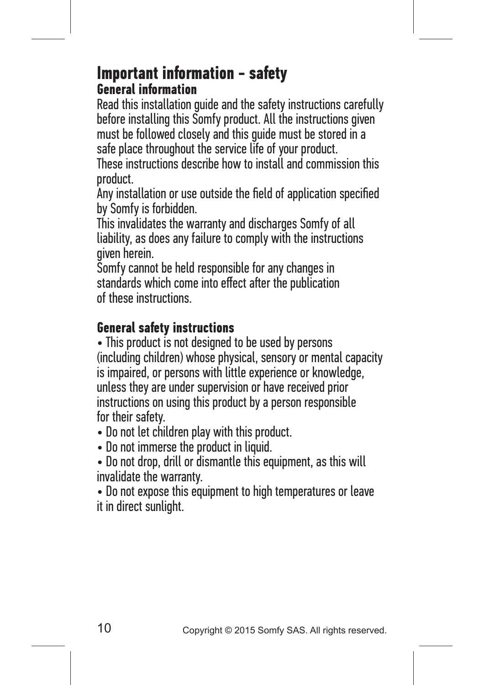### **Important information - safety General information**

Read this installation guide and the safety instructions carefully before installing this Somfy product. All the instructions given must be followed closely and this guide must be stored in a safe place throughout the service life of your product.

These instructions describe how to install and commission this product.

Any installation or use outside the field of application specified by Somfy is forbidden.

This invalidates the warranty and discharges Somfy of all liability, as does any failure to comply with the instructions given herein.

Somfy cannot be held responsible for any changes in standards which come into effect after the publication of these instructions.

### **General safety instructions**

• This product is not designed to be used by persons (including children) whose physical, sensory or mental capacity is impaired, or persons with little experience or knowledge, unless they are under supervision or have received prior instructions on using this product by a person responsible for their safety.

- Do not let children play with this product.
- Do not immerse the product in liquid.
- Do not drop, drill or dismantle this equipment, as this will invalidate the warranty.

• Do not expose this equipment to high temperatures or leave it in direct sunlight.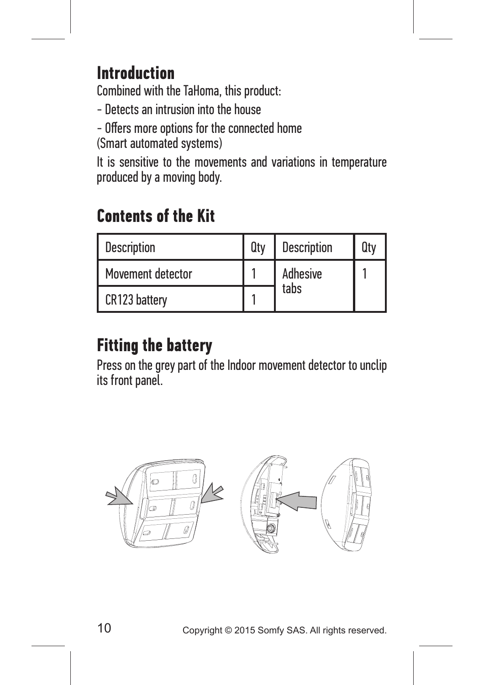## **Introduction**

Combined with the TaHoma, this product:

- Detects an intrusion into the house

- Offers more options for the connected home (Smart automated systems)

It is sensitive to the movements and variations in temperature produced by a moving body.

# **Contents of the Kit**

| <b>Description</b> | Qtv | <b>Description</b> | Qtv |
|--------------------|-----|--------------------|-----|
| Movement detector  |     | Adhesive           |     |
| CR123 battery      |     | tabs               |     |

# **Fitting the battery**

Press on the grey part of the Indoor movement detector to unclip its front panel.

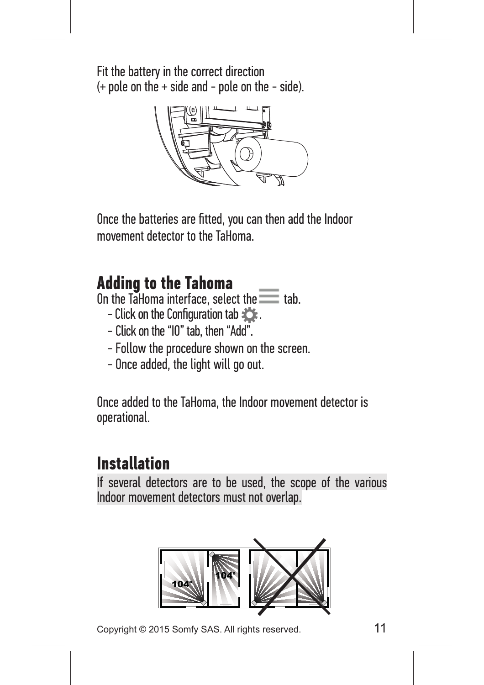Fit the battery in the correct direction  $(+$  pole on the  $+$  side and  $-$  pole on the  $-$  side).



Once the batteries are fitted, you can then add the Indoor movement detector to the TaHoma.

### **Adding to the Tahoma**

On the TaHoma interface, select the  $\equiv$  tab.

- Click on the Configuration tab  $\sum$ .
- Click on the "IO" tab, then "Add".
- Follow the procedure shown on the screen.
- Once added, the light will go out.

Once added to the TaHoma, the Indoor movement detector is operational.

## **Installation**

If several detectors are to be used, the scope of the various Indoor movement detectors must not overlap.



Copyright © 2015 Somfy SAS. All rights reserved. 11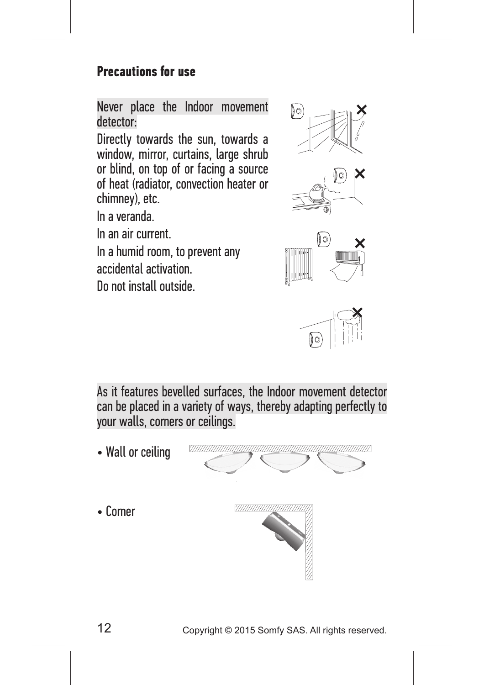#### **Precautions for use**

Never place the Indoor movement detector:

Directly towards the sun, towards a window, mirror, curtains, large shrub or blind, on top of or facing a source of heat (radiator, convection heater or chimney), etc.

In a veranda.

In an air current.

In a humid room, to prevent any accidental activation.

Do not install outside.









As it features bevelled surfaces, the Indoor movement detector can be placed in a variety of ways, thereby adapting perfectly to your walls, corners or ceilings.

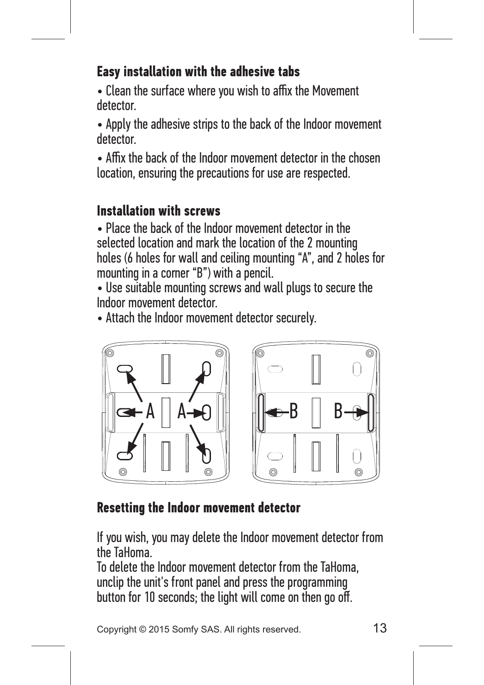### **Easy installation with the adhesive tabs**

• Clean the surface where you wish to affix the Movement detector.

• Apply the adhesive strips to the back of the Indoor movement detector.

• Affix the back of the Indoor movement detector in the chosen location, ensuring the precautions for use are respected.

### **Installation with screws**

• Place the back of the Indoor movement detector in the selected location and mark the location of the 2 mounting holes (6 holes for wall and ceiling mounting "A", and 2 holes for mounting in a corner "B") with a pencil.

• Use suitable mounting screws and wall plugs to secure the Indoor movement detector.

• Attach the Indoor movement detector securely.



### **Resetting the Indoor movement detector**

If you wish, you may delete the Indoor movement detector from the TaHoma.

To delete the Indoor movement detector from the TaHoma, unclip the unit's front panel and press the programming button for 10 seconds; the light will come on then go off.

Copyright © 2015 Somfy SAS. All rights reserved. 13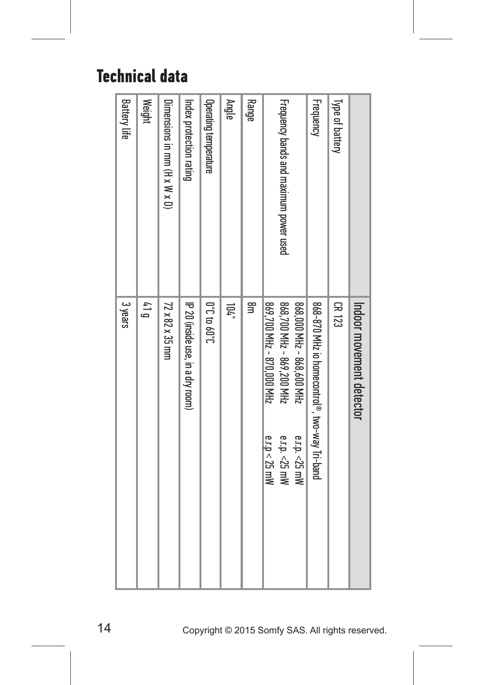## **Technical data**

|                                        | Indoor movement detector                                                                                  |
|----------------------------------------|-----------------------------------------------------------------------------------------------------------|
| Type of battery                        | CK 123                                                                                                    |
| <b>Frequency</b>                       | 868-870 MHz io homecontrol®, two-way Tri-band                                                             |
|                                        | 868,000 MHz - 868,600 MHz                                                                                 |
| Frequency bands and maximum power used | 869,700 MHz - 870,000 MHz<br>868,700 MHz - 869,200 MHz<br>e.r.p. <25 mW<br>e.r.p. <25 mW<br>e.r.p < 25 mW |
| Range                                  | a⊟                                                                                                        |
| Angle                                  | $104^{\circ}$                                                                                             |
| Operating temperature                  | <b>J</b> .09 01 <b>J.0</b>                                                                                |
| Index protection rating                | IP 20 (inside use, in a dry room)                                                                         |
| Dimensions in mm (H x W x D)           | 72 x 82 x 35 mm                                                                                           |
| <b>Weight</b>                          | $\frac{1}{4}$ 1                                                                                           |
| <b>Battery life</b>                    | 3 years                                                                                                   |